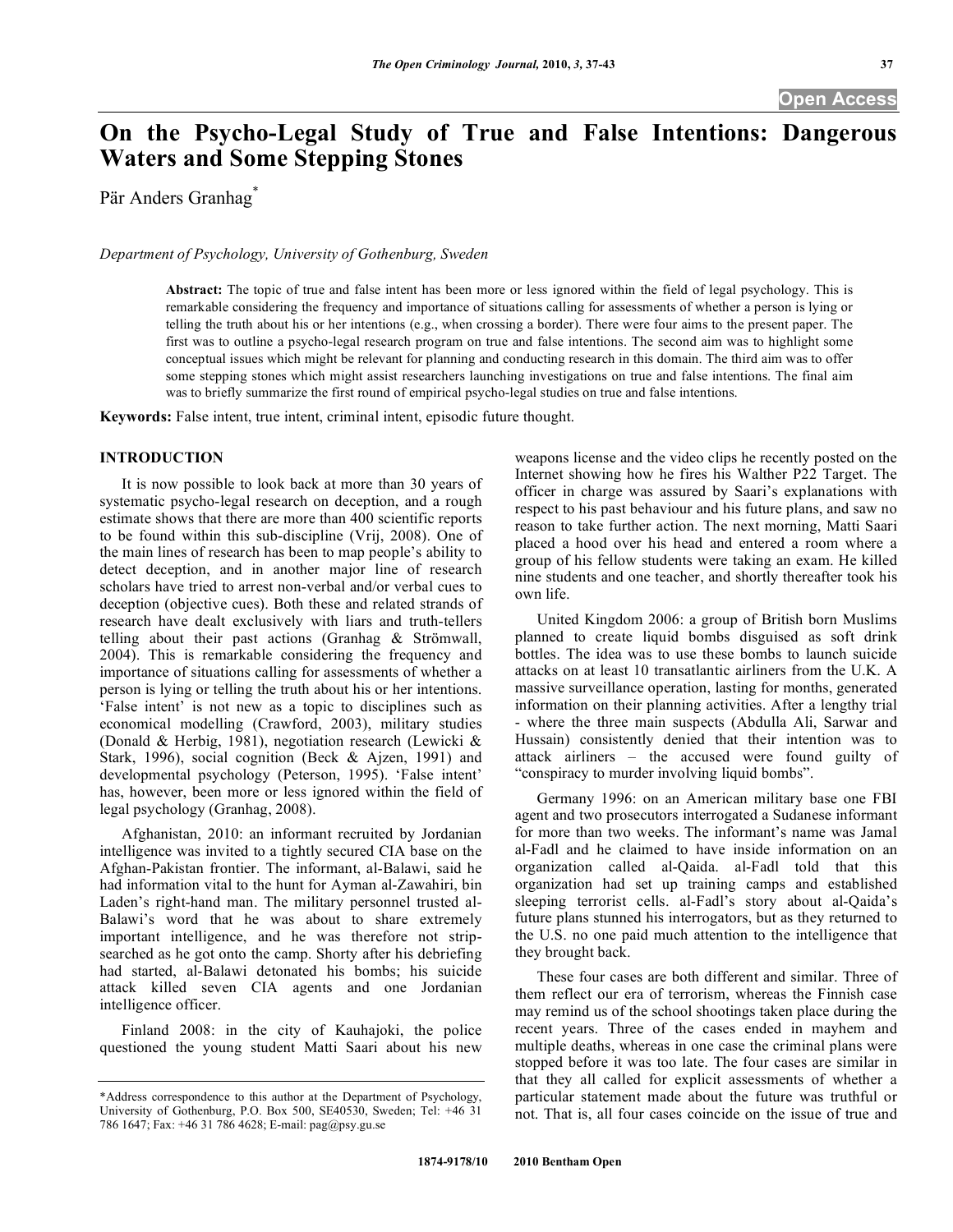# **On the Psycho-Legal Study of True and False Intentions: Dangerous Waters and Some Stepping Stones**

Pär Anders Granhag\*

*Department of Psychology, University of Gothenburg, Sweden* 

**Abstract:** The topic of true and false intent has been more or less ignored within the field of legal psychology. This is remarkable considering the frequency and importance of situations calling for assessments of whether a person is lying or telling the truth about his or her intentions (e.g., when crossing a border). There were four aims to the present paper. The first was to outline a psycho-legal research program on true and false intentions. The second aim was to highlight some conceptual issues which might be relevant for planning and conducting research in this domain. The third aim was to offer some stepping stones which might assist researchers launching investigations on true and false intentions. The final aim was to briefly summarize the first round of empirical psycho-legal studies on true and false intentions.

**Keywords:** False intent, true intent, criminal intent, episodic future thought.

# **INTRODUCTION**

 It is now possible to look back at more than 30 years of systematic psycho-legal research on deception, and a rough estimate shows that there are more than 400 scientific reports to be found within this sub-discipline (Vrij, 2008). One of the main lines of research has been to map people's ability to detect deception, and in another major line of research scholars have tried to arrest non-verbal and/or verbal cues to deception (objective cues). Both these and related strands of research have dealt exclusively with liars and truth-tellers telling about their past actions (Granhag & Strömwall, 2004). This is remarkable considering the frequency and importance of situations calling for assessments of whether a person is lying or telling the truth about his or her intentions. 'False intent' is not new as a topic to disciplines such as economical modelling (Crawford, 2003), military studies (Donald & Herbig, 1981), negotiation research (Lewicki & Stark, 1996), social cognition (Beck & Ajzen, 1991) and developmental psychology (Peterson, 1995). 'False intent' has, however, been more or less ignored within the field of legal psychology (Granhag, 2008).

 Afghanistan, 2010: an informant recruited by Jordanian intelligence was invited to a tightly secured CIA base on the Afghan-Pakistan frontier. The informant, al-Balawi, said he had information vital to the hunt for Ayman al-Zawahiri, bin Laden's right-hand man. The military personnel trusted al-Balawi's word that he was about to share extremely important intelligence, and he was therefore not stripsearched as he got onto the camp. Shorty after his debriefing had started, al-Balawi detonated his bombs; his suicide attack killed seven CIA agents and one Jordanian intelligence officer.

 Finland 2008: in the city of Kauhajoki, the police questioned the young student Matti Saari about his new

weapons license and the video clips he recently posted on the Internet showing how he fires his Walther P22 Target. The officer in charge was assured by Saari's explanations with respect to his past behaviour and his future plans, and saw no reason to take further action. The next morning, Matti Saari placed a hood over his head and entered a room where a group of his fellow students were taking an exam. He killed nine students and one teacher, and shortly thereafter took his own life.

 United Kingdom 2006: a group of British born Muslims planned to create liquid bombs disguised as soft drink bottles. The idea was to use these bombs to launch suicide attacks on at least 10 transatlantic airliners from the U.K. A massive surveillance operation, lasting for months, generated information on their planning activities. After a lengthy trial - where the three main suspects (Abdulla Ali, Sarwar and Hussain) consistently denied that their intention was to attack airliners – the accused were found guilty of "conspiracy to murder involving liquid bombs".

 Germany 1996: on an American military base one FBI agent and two prosecutors interrogated a Sudanese informant for more than two weeks. The informant's name was Jamal al-Fadl and he claimed to have inside information on an organization called al-Qaida. al-Fadl told that this organization had set up training camps and established sleeping terrorist cells. al-Fadl's story about al-Qaida's future plans stunned his interrogators, but as they returned to the U.S. no one paid much attention to the intelligence that they brought back.

 These four cases are both different and similar. Three of them reflect our era of terrorism, whereas the Finnish case may remind us of the school shootings taken place during the recent years. Three of the cases ended in mayhem and multiple deaths, whereas in one case the criminal plans were stopped before it was too late. The four cases are similar in that they all called for explicit assessments of whether a particular statement made about the future was truthful or not. That is, all four cases coincide on the issue of true and

<sup>\*</sup>Address correspondence to this author at the Department of Psychology, University of Gothenburg, P.O. Box 500, SE40530, Sweden; Tel: +46 31 786 1647; Fax: +46 31 786 4628; E-mail: pag@psy.gu.se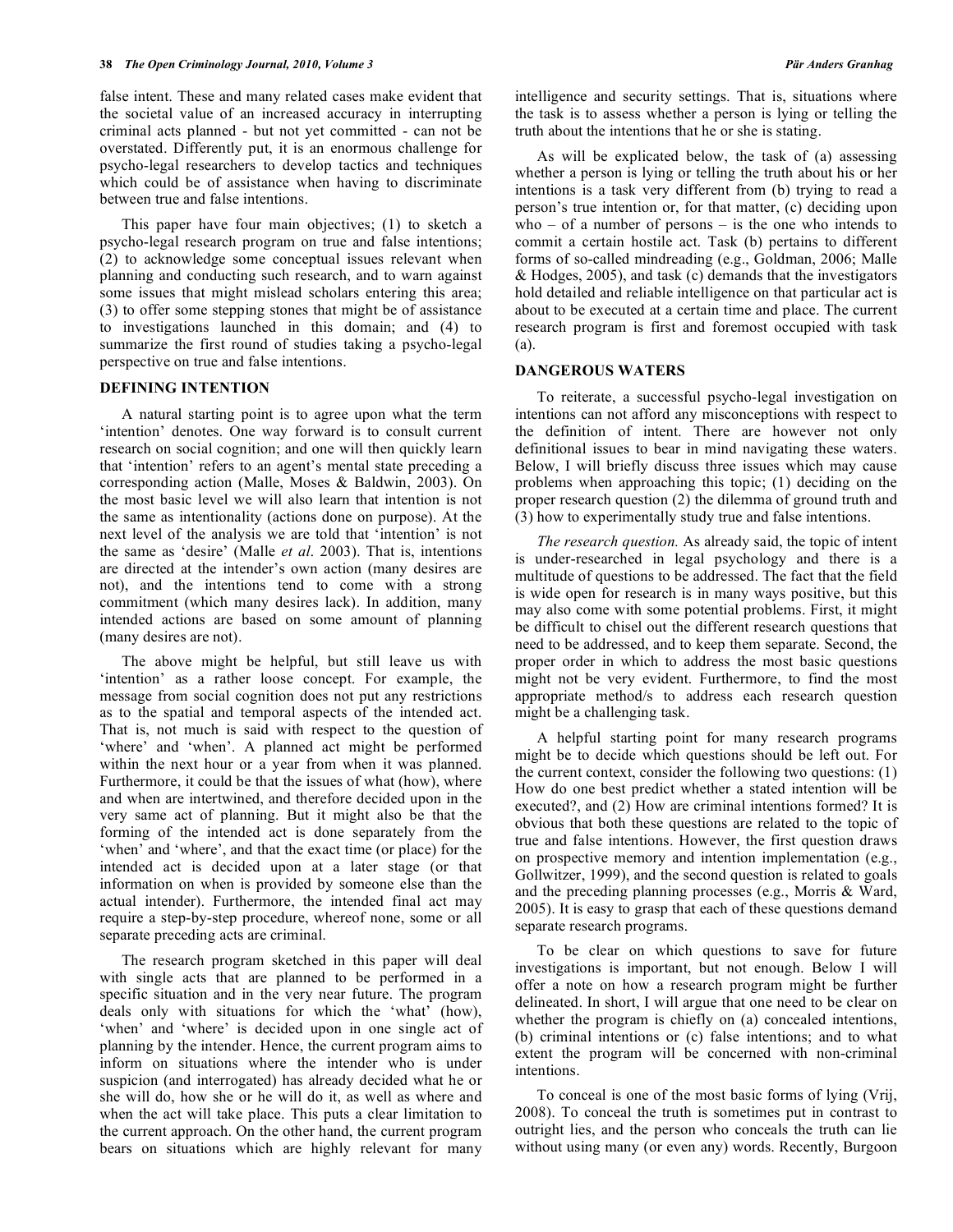false intent. These and many related cases make evident that the societal value of an increased accuracy in interrupting criminal acts planned - but not yet committed - can not be overstated. Differently put, it is an enormous challenge for psycho-legal researchers to develop tactics and techniques which could be of assistance when having to discriminate between true and false intentions.

 This paper have four main objectives; (1) to sketch a psycho-legal research program on true and false intentions; (2) to acknowledge some conceptual issues relevant when planning and conducting such research, and to warn against some issues that might mislead scholars entering this area; (3) to offer some stepping stones that might be of assistance to investigations launched in this domain; and (4) to summarize the first round of studies taking a psycho-legal perspective on true and false intentions.

### **DEFINING INTENTION**

 A natural starting point is to agree upon what the term 'intention' denotes. One way forward is to consult current research on social cognition; and one will then quickly learn that 'intention' refers to an agent's mental state preceding a corresponding action (Malle, Moses & Baldwin, 2003). On the most basic level we will also learn that intention is not the same as intentionality (actions done on purpose). At the next level of the analysis we are told that 'intention' is not the same as 'desire' (Malle *et al*. 2003). That is, intentions are directed at the intender's own action (many desires are not), and the intentions tend to come with a strong commitment (which many desires lack). In addition, many intended actions are based on some amount of planning (many desires are not).

 The above might be helpful, but still leave us with 'intention' as a rather loose concept. For example, the message from social cognition does not put any restrictions as to the spatial and temporal aspects of the intended act. That is, not much is said with respect to the question of 'where' and 'when'. A planned act might be performed within the next hour or a year from when it was planned. Furthermore, it could be that the issues of what (how), where and when are intertwined, and therefore decided upon in the very same act of planning. But it might also be that the forming of the intended act is done separately from the 'when' and 'where', and that the exact time (or place) for the intended act is decided upon at a later stage (or that information on when is provided by someone else than the actual intender). Furthermore, the intended final act may require a step-by-step procedure, whereof none, some or all separate preceding acts are criminal.

 The research program sketched in this paper will deal with single acts that are planned to be performed in a specific situation and in the very near future. The program deals only with situations for which the 'what' (how), 'when' and 'where' is decided upon in one single act of planning by the intender. Hence, the current program aims to inform on situations where the intender who is under suspicion (and interrogated) has already decided what he or she will do, how she or he will do it, as well as where and when the act will take place. This puts a clear limitation to the current approach. On the other hand, the current program bears on situations which are highly relevant for many

intelligence and security settings. That is, situations where the task is to assess whether a person is lying or telling the truth about the intentions that he or she is stating.

 As will be explicated below, the task of (a) assessing whether a person is lying or telling the truth about his or her intentions is a task very different from (b) trying to read a person's true intention or, for that matter, (c) deciding upon who – of a number of persons – is the one who intends to commit a certain hostile act. Task (b) pertains to different forms of so-called mindreading (e.g., Goldman, 2006; Malle & Hodges, 2005), and task (c) demands that the investigators hold detailed and reliable intelligence on that particular act is about to be executed at a certain time and place. The current research program is first and foremost occupied with task (a).

#### **DANGEROUS WATERS**

 To reiterate, a successful psycho-legal investigation on intentions can not afford any misconceptions with respect to the definition of intent. There are however not only definitional issues to bear in mind navigating these waters. Below, I will briefly discuss three issues which may cause problems when approaching this topic; (1) deciding on the proper research question (2) the dilemma of ground truth and (3) how to experimentally study true and false intentions.

 *The research question.* As already said, the topic of intent is under-researched in legal psychology and there is a multitude of questions to be addressed. The fact that the field is wide open for research is in many ways positive, but this may also come with some potential problems. First, it might be difficult to chisel out the different research questions that need to be addressed, and to keep them separate. Second, the proper order in which to address the most basic questions might not be very evident. Furthermore, to find the most appropriate method/s to address each research question might be a challenging task.

 A helpful starting point for many research programs might be to decide which questions should be left out. For the current context, consider the following two questions: (1) How do one best predict whether a stated intention will be executed?, and (2) How are criminal intentions formed? It is obvious that both these questions are related to the topic of true and false intentions. However, the first question draws on prospective memory and intention implementation (e.g., Gollwitzer, 1999), and the second question is related to goals and the preceding planning processes (e.g., Morris & Ward, 2005). It is easy to grasp that each of these questions demand separate research programs.

 To be clear on which questions to save for future investigations is important, but not enough. Below I will offer a note on how a research program might be further delineated. In short, I will argue that one need to be clear on whether the program is chiefly on (a) concealed intentions, (b) criminal intentions or (c) false intentions; and to what extent the program will be concerned with non-criminal intentions.

 To conceal is one of the most basic forms of lying (Vrij, 2008). To conceal the truth is sometimes put in contrast to outright lies, and the person who conceals the truth can lie without using many (or even any) words. Recently, Burgoon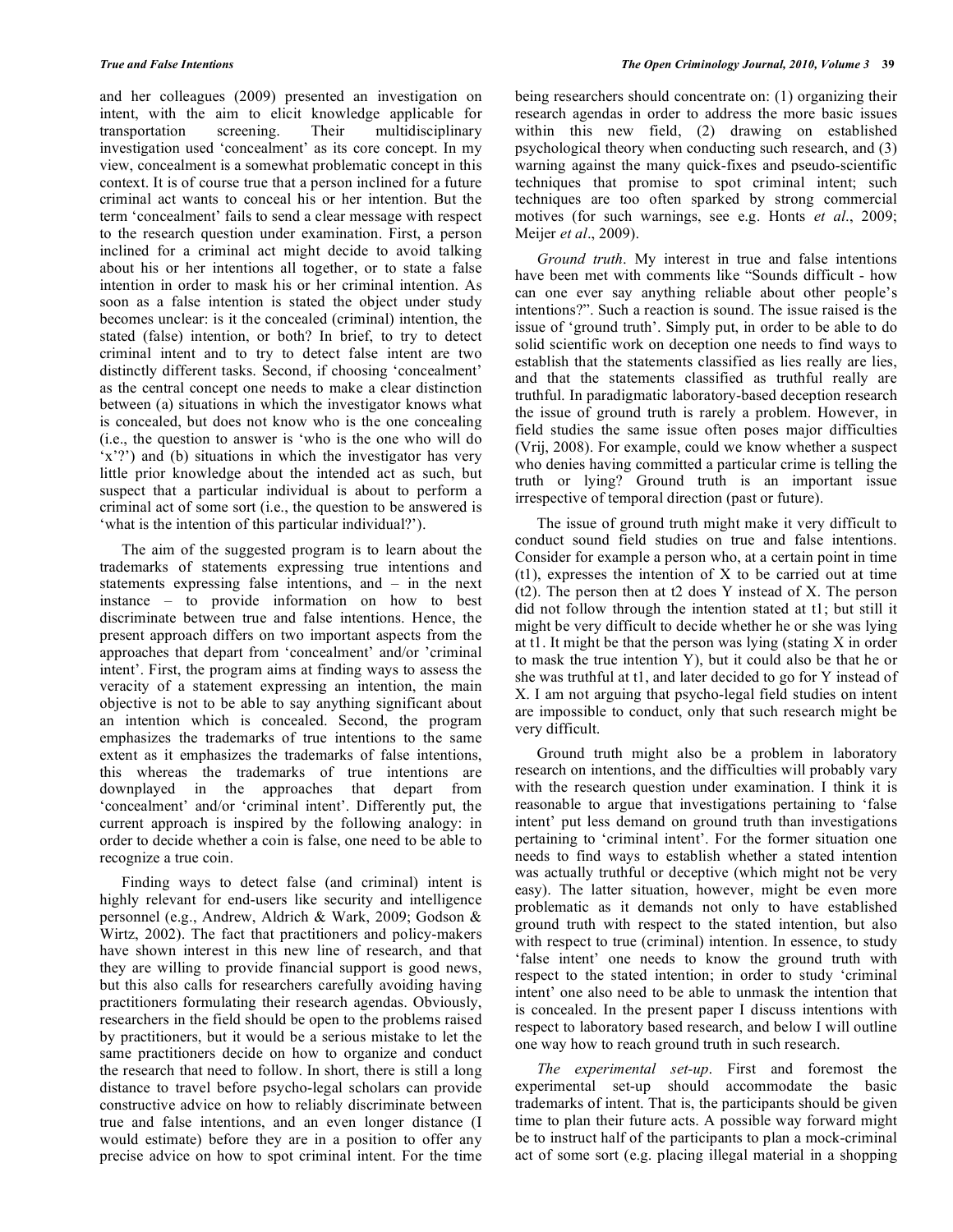and her colleagues (2009) presented an investigation on intent, with the aim to elicit knowledge applicable for transportation screening. Their multidisciplinary investigation used 'concealment' as its core concept. In my view, concealment is a somewhat problematic concept in this context. It is of course true that a person inclined for a future criminal act wants to conceal his or her intention. But the term 'concealment' fails to send a clear message with respect to the research question under examination. First, a person inclined for a criminal act might decide to avoid talking about his or her intentions all together, or to state a false intention in order to mask his or her criminal intention. As soon as a false intention is stated the object under study becomes unclear: is it the concealed (criminal) intention, the stated (false) intention, or both? In brief, to try to detect criminal intent and to try to detect false intent are two distinctly different tasks. Second, if choosing 'concealment' as the central concept one needs to make a clear distinction between (a) situations in which the investigator knows what is concealed, but does not know who is the one concealing (i.e., the question to answer is 'who is the one who will do 'x'?') and (b) situations in which the investigator has very little prior knowledge about the intended act as such, but suspect that a particular individual is about to perform a criminal act of some sort (i.e., the question to be answered is 'what is the intention of this particular individual?').

 The aim of the suggested program is to learn about the trademarks of statements expressing true intentions and statements expressing false intentions, and – in the next instance – to provide information on how to best discriminate between true and false intentions. Hence, the present approach differs on two important aspects from the approaches that depart from 'concealment' and/or 'criminal intent'. First, the program aims at finding ways to assess the veracity of a statement expressing an intention, the main objective is not to be able to say anything significant about an intention which is concealed. Second, the program emphasizes the trademarks of true intentions to the same extent as it emphasizes the trademarks of false intentions, this whereas the trademarks of true intentions are downplayed in the approaches that depart from 'concealment' and/or 'criminal intent'. Differently put, the current approach is inspired by the following analogy: in order to decide whether a coin is false, one need to be able to recognize a true coin.

 Finding ways to detect false (and criminal) intent is highly relevant for end-users like security and intelligence personnel (e.g., Andrew, Aldrich & Wark, 2009; Godson & Wirtz, 2002). The fact that practitioners and policy-makers have shown interest in this new line of research, and that they are willing to provide financial support is good news, but this also calls for researchers carefully avoiding having practitioners formulating their research agendas. Obviously, researchers in the field should be open to the problems raised by practitioners, but it would be a serious mistake to let the same practitioners decide on how to organize and conduct the research that need to follow. In short, there is still a long distance to travel before psycho-legal scholars can provide constructive advice on how to reliably discriminate between true and false intentions, and an even longer distance (I would estimate) before they are in a position to offer any precise advice on how to spot criminal intent. For the time

being researchers should concentrate on: (1) organizing their research agendas in order to address the more basic issues within this new field, (2) drawing on established psychological theory when conducting such research, and (3) warning against the many quick-fixes and pseudo-scientific techniques that promise to spot criminal intent; such techniques are too often sparked by strong commercial motives (for such warnings, see e.g. Honts *et al*., 2009; Meijer *et al*., 2009).

 *Ground truth*. My interest in true and false intentions have been met with comments like "Sounds difficult - how can one ever say anything reliable about other people's intentions?". Such a reaction is sound. The issue raised is the issue of 'ground truth'. Simply put, in order to be able to do solid scientific work on deception one needs to find ways to establish that the statements classified as lies really are lies, and that the statements classified as truthful really are truthful. In paradigmatic laboratory-based deception research the issue of ground truth is rarely a problem. However, in field studies the same issue often poses major difficulties (Vrij, 2008). For example, could we know whether a suspect who denies having committed a particular crime is telling the truth or lying? Ground truth is an important issue irrespective of temporal direction (past or future).

 The issue of ground truth might make it very difficult to conduct sound field studies on true and false intentions. Consider for example a person who, at a certain point in time (t1), expresses the intention of X to be carried out at time (t2). The person then at t2 does Y instead of X. The person did not follow through the intention stated at t1; but still it might be very difficult to decide whether he or she was lying at t1. It might be that the person was lying (stating X in order to mask the true intention Y), but it could also be that he or she was truthful at t1, and later decided to go for Y instead of X. I am not arguing that psycho-legal field studies on intent are impossible to conduct, only that such research might be very difficult.

 Ground truth might also be a problem in laboratory research on intentions, and the difficulties will probably vary with the research question under examination. I think it is reasonable to argue that investigations pertaining to 'false intent' put less demand on ground truth than investigations pertaining to 'criminal intent'. For the former situation one needs to find ways to establish whether a stated intention was actually truthful or deceptive (which might not be very easy). The latter situation, however, might be even more problematic as it demands not only to have established ground truth with respect to the stated intention, but also with respect to true (criminal) intention. In essence, to study 'false intent' one needs to know the ground truth with respect to the stated intention; in order to study 'criminal intent' one also need to be able to unmask the intention that is concealed. In the present paper I discuss intentions with respect to laboratory based research, and below I will outline one way how to reach ground truth in such research.

 *The experimental set-up*. First and foremost the experimental set-up should accommodate the basic trademarks of intent. That is, the participants should be given time to plan their future acts. A possible way forward might be to instruct half of the participants to plan a mock-criminal act of some sort (e.g. placing illegal material in a shopping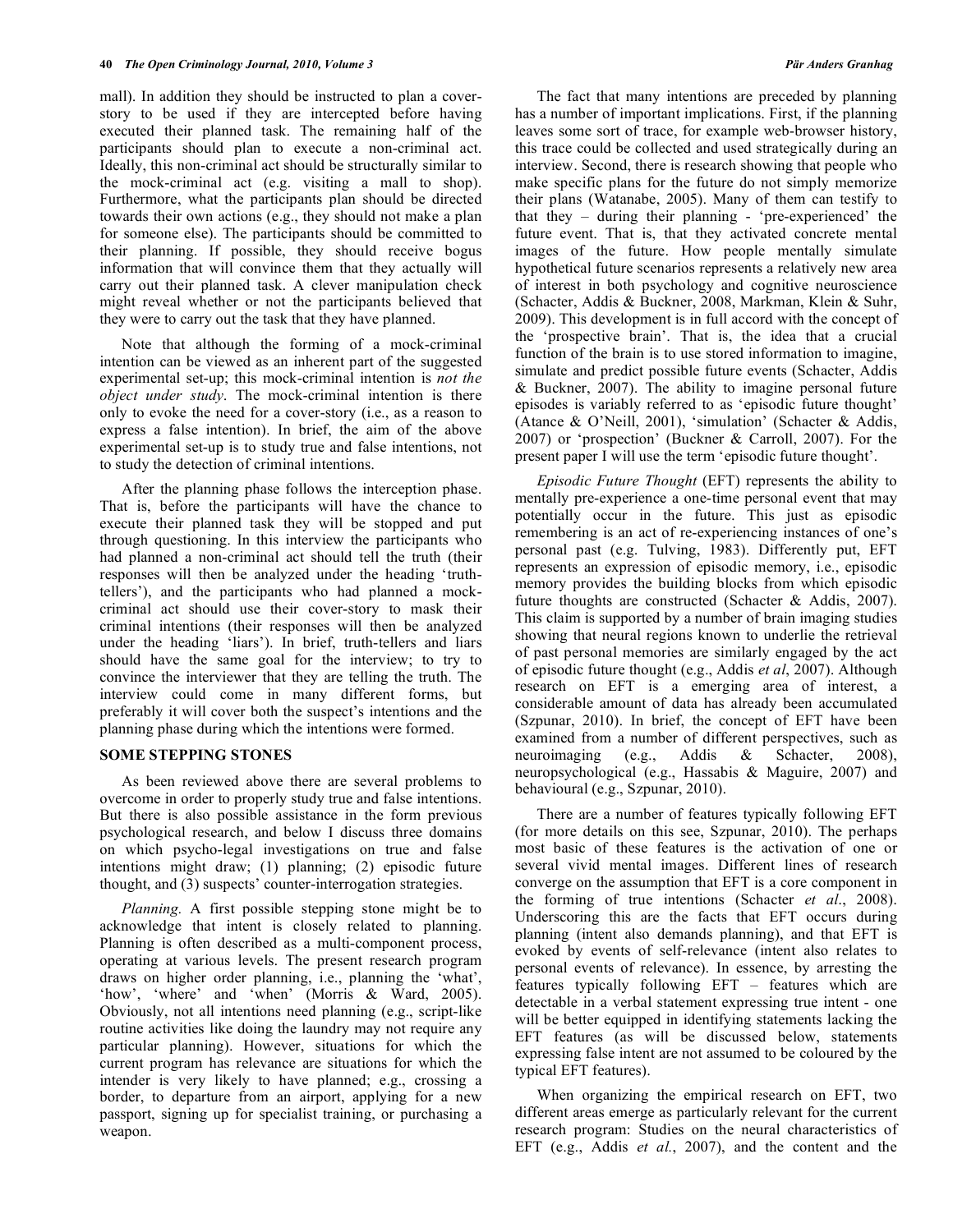mall). In addition they should be instructed to plan a coverstory to be used if they are intercepted before having executed their planned task. The remaining half of the participants should plan to execute a non-criminal act. Ideally, this non-criminal act should be structurally similar to the mock-criminal act (e.g. visiting a mall to shop). Furthermore, what the participants plan should be directed towards their own actions (e.g., they should not make a plan for someone else). The participants should be committed to their planning. If possible, they should receive bogus information that will convince them that they actually will carry out their planned task. A clever manipulation check might reveal whether or not the participants believed that they were to carry out the task that they have planned.

 Note that although the forming of a mock-criminal intention can be viewed as an inherent part of the suggested experimental set-up; this mock-criminal intention is *not the object under study*. The mock-criminal intention is there only to evoke the need for a cover-story (i.e., as a reason to express a false intention). In brief, the aim of the above experimental set-up is to study true and false intentions, not to study the detection of criminal intentions.

 After the planning phase follows the interception phase. That is, before the participants will have the chance to execute their planned task they will be stopped and put through questioning. In this interview the participants who had planned a non-criminal act should tell the truth (their responses will then be analyzed under the heading 'truthtellers'), and the participants who had planned a mockcriminal act should use their cover-story to mask their criminal intentions (their responses will then be analyzed under the heading 'liars'). In brief, truth-tellers and liars should have the same goal for the interview; to try to convince the interviewer that they are telling the truth. The interview could come in many different forms, but preferably it will cover both the suspect's intentions and the planning phase during which the intentions were formed.

### **SOME STEPPING STONES**

 As been reviewed above there are several problems to overcome in order to properly study true and false intentions. But there is also possible assistance in the form previous psychological research, and below I discuss three domains on which psycho-legal investigations on true and false intentions might draw; (1) planning; (2) episodic future thought, and (3) suspects' counter-interrogation strategies.

 *Planning.* A first possible stepping stone might be to acknowledge that intent is closely related to planning. Planning is often described as a multi-component process, operating at various levels. The present research program draws on higher order planning, i.e., planning the 'what', 'how', 'where' and 'when' (Morris & Ward, 2005). Obviously, not all intentions need planning (e.g., script-like routine activities like doing the laundry may not require any particular planning). However, situations for which the current program has relevance are situations for which the intender is very likely to have planned; e.g., crossing a border, to departure from an airport, applying for a new passport, signing up for specialist training, or purchasing a weapon.

 The fact that many intentions are preceded by planning has a number of important implications. First, if the planning leaves some sort of trace, for example web-browser history, this trace could be collected and used strategically during an interview. Second, there is research showing that people who make specific plans for the future do not simply memorize their plans (Watanabe, 2005). Many of them can testify to that they – during their planning - 'pre-experienced' the future event. That is, that they activated concrete mental images of the future. How people mentally simulate hypothetical future scenarios represents a relatively new area of interest in both psychology and cognitive neuroscience (Schacter, Addis & Buckner, 2008, Markman, Klein & Suhr, 2009). This development is in full accord with the concept of the 'prospective brain'. That is, the idea that a crucial function of the brain is to use stored information to imagine, simulate and predict possible future events (Schacter, Addis & Buckner, 2007). The ability to imagine personal future episodes is variably referred to as 'episodic future thought' (Atance & O'Neill, 2001), 'simulation' (Schacter & Addis, 2007) or 'prospection' (Buckner & Carroll, 2007). For the present paper I will use the term 'episodic future thought'.

 *Episodic Future Thought* (EFT) represents the ability to mentally pre-experience a one-time personal event that may potentially occur in the future. This just as episodic remembering is an act of re-experiencing instances of one's personal past (e.g. Tulving, 1983). Differently put, EFT represents an expression of episodic memory, i.e., episodic memory provides the building blocks from which episodic future thoughts are constructed (Schacter & Addis, 2007). This claim is supported by a number of brain imaging studies showing that neural regions known to underlie the retrieval of past personal memories are similarly engaged by the act of episodic future thought (e.g., Addis *et al*, 2007). Although research on EFT is a emerging area of interest, a considerable amount of data has already been accumulated (Szpunar, 2010). In brief, the concept of EFT have been examined from a number of different perspectives, such as neuroimaging (e.g., Addis & Schacter, 2008), neuropsychological (e.g., Hassabis & Maguire, 2007) and behavioural (e.g., Szpunar, 2010).

 There are a number of features typically following EFT (for more details on this see, Szpunar, 2010). The perhaps most basic of these features is the activation of one or several vivid mental images. Different lines of research converge on the assumption that EFT is a core component in the forming of true intentions (Schacter *et al*., 2008). Underscoring this are the facts that EFT occurs during planning (intent also demands planning), and that EFT is evoked by events of self-relevance (intent also relates to personal events of relevance). In essence, by arresting the features typically following EFT – features which are detectable in a verbal statement expressing true intent - one will be better equipped in identifying statements lacking the EFT features (as will be discussed below, statements expressing false intent are not assumed to be coloured by the typical EFT features).

 When organizing the empirical research on EFT, two different areas emerge as particularly relevant for the current research program: Studies on the neural characteristics of EFT (e.g., Addis *et al.*, 2007), and the content and the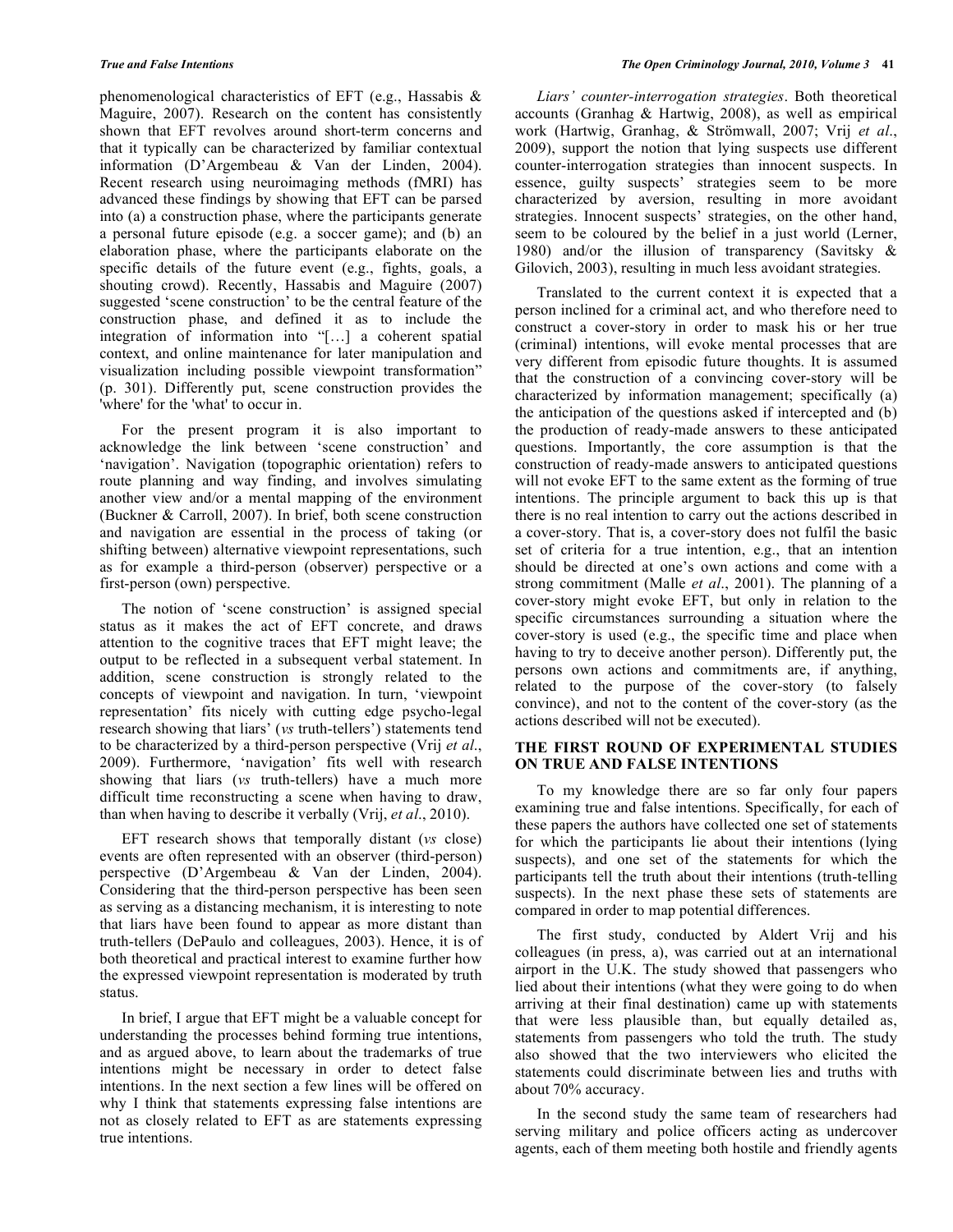phenomenological characteristics of EFT (e.g., Hassabis & Maguire, 2007). Research on the content has consistently shown that EFT revolves around short-term concerns and that it typically can be characterized by familiar contextual information (D'Argembeau & Van der Linden, 2004). Recent research using neuroimaging methods (fMRI) has advanced these findings by showing that EFT can be parsed into (a) a construction phase, where the participants generate a personal future episode (e.g. a soccer game); and (b) an elaboration phase, where the participants elaborate on the specific details of the future event (e.g., fights, goals, a shouting crowd). Recently, Hassabis and Maguire (2007) suggested 'scene construction' to be the central feature of the construction phase, and defined it as to include the integration of information into "[…] a coherent spatial context, and online maintenance for later manipulation and visualization including possible viewpoint transformation" (p. 301). Differently put, scene construction provides the 'where' for the 'what' to occur in.

 For the present program it is also important to acknowledge the link between 'scene construction' and 'navigation'. Navigation (topographic orientation) refers to route planning and way finding, and involves simulating another view and/or a mental mapping of the environment (Buckner & Carroll, 2007). In brief, both scene construction and navigation are essential in the process of taking (or shifting between) alternative viewpoint representations, such as for example a third-person (observer) perspective or a first-person (own) perspective.

 The notion of 'scene construction' is assigned special status as it makes the act of EFT concrete, and draws attention to the cognitive traces that EFT might leave; the output to be reflected in a subsequent verbal statement. In addition, scene construction is strongly related to the concepts of viewpoint and navigation. In turn, 'viewpoint representation' fits nicely with cutting edge psycho-legal research showing that liars' (*vs* truth-tellers') statements tend to be characterized by a third-person perspective (Vrij *et al*., 2009). Furthermore, 'navigation' fits well with research showing that liars (*vs* truth-tellers) have a much more difficult time reconstructing a scene when having to draw, than when having to describe it verbally (Vrij, *et al*., 2010).

 EFT research shows that temporally distant (*vs* close) events are often represented with an observer (third-person) perspective (D'Argembeau & Van der Linden, 2004). Considering that the third-person perspective has been seen as serving as a distancing mechanism, it is interesting to note that liars have been found to appear as more distant than truth-tellers (DePaulo and colleagues, 2003). Hence, it is of both theoretical and practical interest to examine further how the expressed viewpoint representation is moderated by truth status.

 In brief, I argue that EFT might be a valuable concept for understanding the processes behind forming true intentions, and as argued above, to learn about the trademarks of true intentions might be necessary in order to detect false intentions. In the next section a few lines will be offered on why I think that statements expressing false intentions are not as closely related to EFT as are statements expressing true intentions.

 *Liars' counter-interrogation strategies*. Both theoretical accounts (Granhag & Hartwig, 2008), as well as empirical work (Hartwig, Granhag, & Strömwall, 2007; Vrij *et al*., 2009), support the notion that lying suspects use different counter-interrogation strategies than innocent suspects. In essence, guilty suspects' strategies seem to be more characterized by aversion, resulting in more avoidant strategies. Innocent suspects' strategies, on the other hand, seem to be coloured by the belief in a just world (Lerner, 1980) and/or the illusion of transparency (Savitsky & Gilovich, 2003), resulting in much less avoidant strategies.

 Translated to the current context it is expected that a person inclined for a criminal act, and who therefore need to construct a cover-story in order to mask his or her true (criminal) intentions, will evoke mental processes that are very different from episodic future thoughts. It is assumed that the construction of a convincing cover-story will be characterized by information management; specifically (a) the anticipation of the questions asked if intercepted and (b) the production of ready-made answers to these anticipated questions. Importantly, the core assumption is that the construction of ready-made answers to anticipated questions will not evoke EFT to the same extent as the forming of true intentions. The principle argument to back this up is that there is no real intention to carry out the actions described in a cover-story. That is, a cover-story does not fulfil the basic set of criteria for a true intention, e.g., that an intention should be directed at one's own actions and come with a strong commitment (Malle *et al*., 2001). The planning of a cover-story might evoke EFT, but only in relation to the specific circumstances surrounding a situation where the cover-story is used (e.g., the specific time and place when having to try to deceive another person). Differently put, the persons own actions and commitments are, if anything, related to the purpose of the cover-story (to falsely convince), and not to the content of the cover-story (as the actions described will not be executed).

### **THE FIRST ROUND OF EXPERIMENTAL STUDIES ON TRUE AND FALSE INTENTIONS**

 To my knowledge there are so far only four papers examining true and false intentions. Specifically, for each of these papers the authors have collected one set of statements for which the participants lie about their intentions (lying suspects), and one set of the statements for which the participants tell the truth about their intentions (truth-telling suspects). In the next phase these sets of statements are compared in order to map potential differences.

 The first study, conducted by Aldert Vrij and his colleagues (in press, a), was carried out at an international airport in the U.K. The study showed that passengers who lied about their intentions (what they were going to do when arriving at their final destination) came up with statements that were less plausible than, but equally detailed as, statements from passengers who told the truth. The study also showed that the two interviewers who elicited the statements could discriminate between lies and truths with about 70% accuracy.

 In the second study the same team of researchers had serving military and police officers acting as undercover agents, each of them meeting both hostile and friendly agents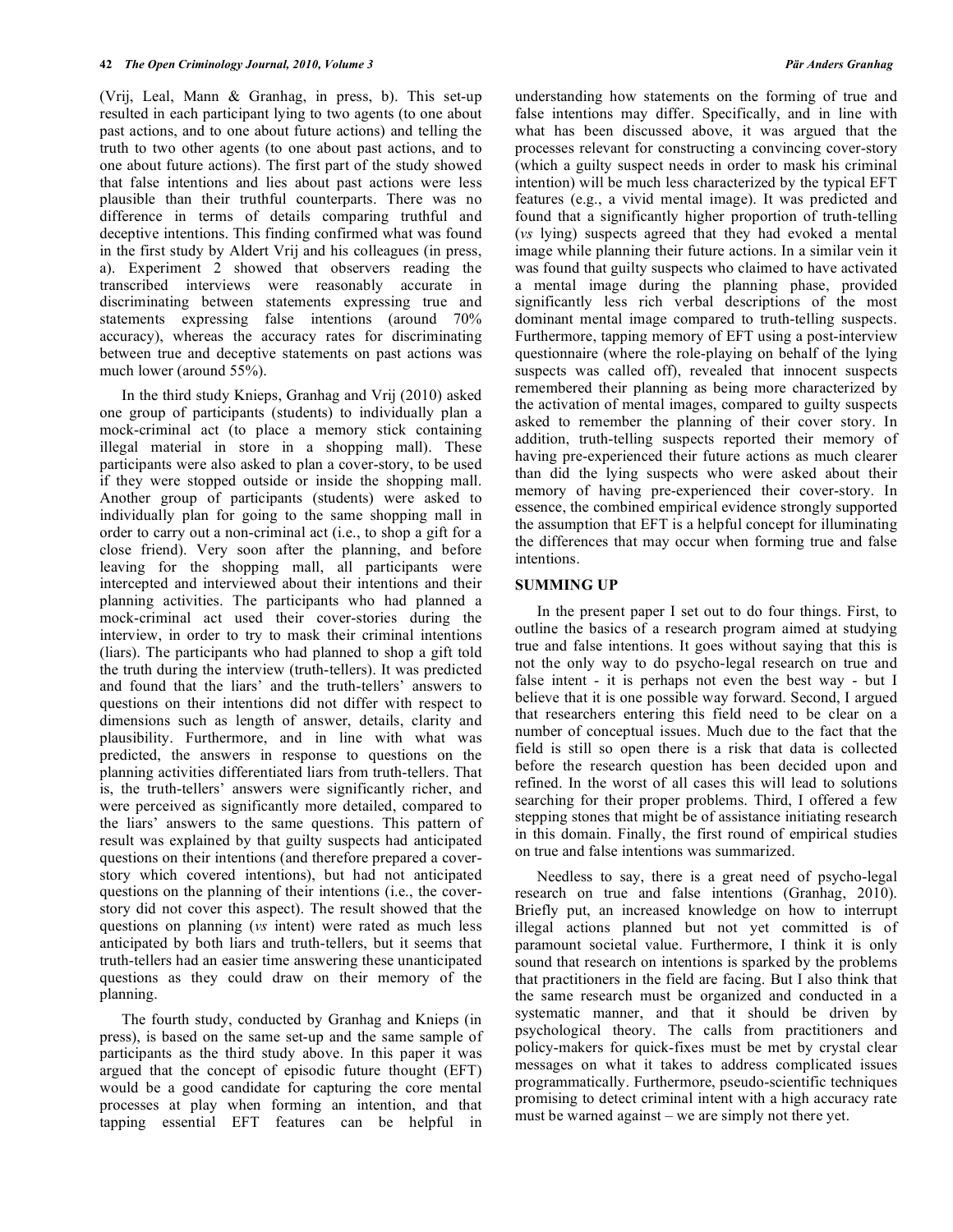(Vrij, Leal, Mann & Granhag, in press, b). This set-up resulted in each participant lying to two agents (to one about past actions, and to one about future actions) and telling the truth to two other agents (to one about past actions, and to one about future actions). The first part of the study showed that false intentions and lies about past actions were less plausible than their truthful counterparts. There was no difference in terms of details comparing truthful and deceptive intentions. This finding confirmed what was found in the first study by Aldert Vrij and his colleagues (in press, a). Experiment 2 showed that observers reading the transcribed interviews were reasonably accurate in discriminating between statements expressing true and statements expressing false intentions (around 70% accuracy), whereas the accuracy rates for discriminating between true and deceptive statements on past actions was much lower (around 55%).

 In the third study Knieps, Granhag and Vrij (2010) asked one group of participants (students) to individually plan a mock-criminal act (to place a memory stick containing illegal material in store in a shopping mall). These participants were also asked to plan a cover-story, to be used if they were stopped outside or inside the shopping mall. Another group of participants (students) were asked to individually plan for going to the same shopping mall in order to carry out a non-criminal act (i.e., to shop a gift for a close friend). Very soon after the planning, and before leaving for the shopping mall, all participants were intercepted and interviewed about their intentions and their planning activities. The participants who had planned a mock-criminal act used their cover-stories during the interview, in order to try to mask their criminal intentions (liars). The participants who had planned to shop a gift told the truth during the interview (truth-tellers). It was predicted and found that the liars' and the truth-tellers' answers to questions on their intentions did not differ with respect to dimensions such as length of answer, details, clarity and plausibility. Furthermore, and in line with what was predicted, the answers in response to questions on the planning activities differentiated liars from truth-tellers. That is, the truth-tellers' answers were significantly richer, and were perceived as significantly more detailed, compared to the liars' answers to the same questions. This pattern of result was explained by that guilty suspects had anticipated questions on their intentions (and therefore prepared a coverstory which covered intentions), but had not anticipated questions on the planning of their intentions (i.e., the coverstory did not cover this aspect). The result showed that the questions on planning (*vs* intent) were rated as much less anticipated by both liars and truth-tellers, but it seems that truth-tellers had an easier time answering these unanticipated questions as they could draw on their memory of the planning.

 The fourth study, conducted by Granhag and Knieps (in press), is based on the same set-up and the same sample of participants as the third study above. In this paper it was argued that the concept of episodic future thought (EFT) would be a good candidate for capturing the core mental processes at play when forming an intention, and that tapping essential EFT features can be helpful in

understanding how statements on the forming of true and false intentions may differ. Specifically, and in line with what has been discussed above, it was argued that the processes relevant for constructing a convincing cover-story (which a guilty suspect needs in order to mask his criminal intention) will be much less characterized by the typical EFT features (e.g., a vivid mental image). It was predicted and found that a significantly higher proportion of truth-telling (*vs* lying) suspects agreed that they had evoked a mental image while planning their future actions. In a similar vein it was found that guilty suspects who claimed to have activated a mental image during the planning phase, provided significantly less rich verbal descriptions of the most dominant mental image compared to truth-telling suspects. Furthermore, tapping memory of EFT using a post-interview questionnaire (where the role-playing on behalf of the lying suspects was called off), revealed that innocent suspects remembered their planning as being more characterized by the activation of mental images, compared to guilty suspects asked to remember the planning of their cover story. In addition, truth-telling suspects reported their memory of having pre-experienced their future actions as much clearer than did the lying suspects who were asked about their memory of having pre-experienced their cover-story. In essence, the combined empirical evidence strongly supported the assumption that EFT is a helpful concept for illuminating the differences that may occur when forming true and false intentions.

## **SUMMING UP**

 In the present paper I set out to do four things. First, to outline the basics of a research program aimed at studying true and false intentions. It goes without saying that this is not the only way to do psycho-legal research on true and false intent - it is perhaps not even the best way - but I believe that it is one possible way forward. Second, I argued that researchers entering this field need to be clear on a number of conceptual issues. Much due to the fact that the field is still so open there is a risk that data is collected before the research question has been decided upon and refined. In the worst of all cases this will lead to solutions searching for their proper problems. Third, I offered a few stepping stones that might be of assistance initiating research in this domain. Finally, the first round of empirical studies on true and false intentions was summarized.

 Needless to say, there is a great need of psycho-legal research on true and false intentions (Granhag, 2010). Briefly put, an increased knowledge on how to interrupt illegal actions planned but not yet committed is of paramount societal value. Furthermore, I think it is only sound that research on intentions is sparked by the problems that practitioners in the field are facing. But I also think that the same research must be organized and conducted in a systematic manner, and that it should be driven by psychological theory. The calls from practitioners and policy-makers for quick-fixes must be met by crystal clear messages on what it takes to address complicated issues programmatically. Furthermore, pseudo-scientific techniques promising to detect criminal intent with a high accuracy rate must be warned against – we are simply not there yet.